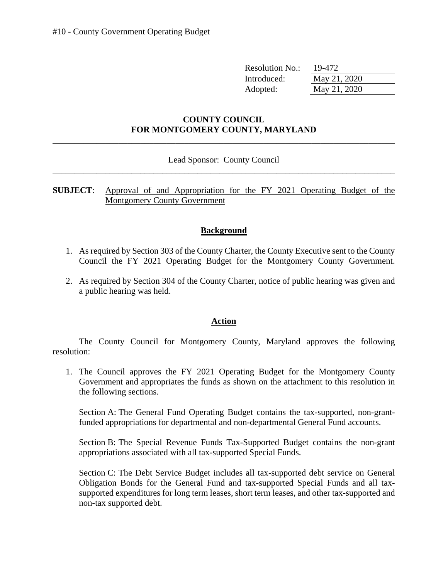| <b>Resolution No.:</b> | 19-472       |
|------------------------|--------------|
| Introduced:            | May 21, 2020 |
| Adopted:               | May 21, 2020 |

## **COUNTY COUNCIL FOR MONTGOMERY COUNTY, MARYLAND**

\_\_\_\_\_\_\_\_\_\_\_\_\_\_\_\_\_\_\_\_\_\_\_\_\_\_\_\_\_\_\_\_\_\_\_\_\_\_\_\_\_\_\_\_\_\_\_\_\_\_\_\_\_\_\_\_\_\_\_\_\_\_\_\_\_\_\_\_\_\_\_\_\_\_\_\_\_\_

## \_\_\_\_\_\_\_\_\_\_\_\_\_\_\_\_\_\_\_\_\_\_\_\_\_\_\_\_\_\_\_\_\_\_\_\_\_\_\_\_\_\_\_\_\_\_\_\_\_\_\_\_\_\_\_\_\_\_\_\_\_\_\_\_\_\_\_\_\_\_\_\_\_\_\_\_\_\_ Lead Sponsor: County Council

**SUBJECT**: Approval of and Appropriation for the FY 2021 Operating Budget of the Montgomery County Government

## **Background**

- 1. As required by Section 303 of the County Charter, the County Executive sent to the County Council the FY 2021 Operating Budget for the Montgomery County Government.
- 2. As required by Section 304 of the County Charter, notice of public hearing was given and a public hearing was held.

## **Action**

The County Council for Montgomery County, Maryland approves the following resolution:

 1. The Council approves the FY 2021 Operating Budget for the Montgomery County Government and appropriates the funds as shown on the attachment to this resolution in the following sections.

Section A: The General Fund Operating Budget contains the tax-supported, non-grantfunded appropriations for departmental and non-departmental General Fund accounts.

Section B: The Special Revenue Funds Tax-Supported Budget contains the non-grant appropriations associated with all tax-supported Special Funds.

Section C: The Debt Service Budget includes all tax-supported debt service on General Obligation Bonds for the General Fund and tax-supported Special Funds and all taxsupported expenditures for long term leases, short term leases, and other tax-supported and non-tax supported debt.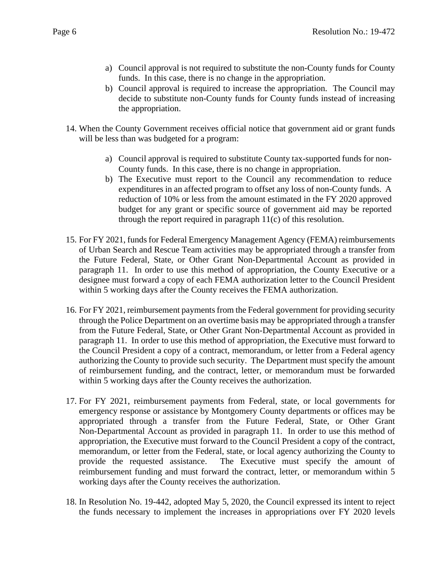- a) Council approval is not required to substitute the non-County funds for County funds. In this case, there is no change in the appropriation.
- b) Council approval is required to increase the appropriation. The Council may decide to substitute non-County funds for County funds instead of increasing the appropriation.
- 14. When the County Government receives official notice that government aid or grant funds will be less than was budgeted for a program:
	- a) Council approval is required to substitute County tax-supported funds for non-County funds. In this case, there is no change in appropriation.
	- expenditures in an affected program to offset any loss of non-County funds. A reduction of 10% or less from the amount estimated in the FY 2020 approved budget for any grant or specific source of government aid may be reported through the report required in paragraph 11(c) of this resolution. b) The Executive must report to the Council any recommendation to reduce
- of Urban Search and Rescue Team activities may be appropriated through a transfer from paragraph 11. In order to use this method of appropriation, the County Executive or a 15. For FY 2021, funds for Federal Emergency Management Agency (FEMA) reimbursements the Future Federal, State, or Other Grant Non-Departmental Account as provided in designee must forward a copy of each FEMA authorization letter to the Council President within 5 working days after the County receives the FEMA authorization.
- paragraph 11. In order to use this method of appropriation, the Executive must forward to the Council President a copy of a contract, memorandum, or letter from a Federal agency 16. For FY 2021, reimbursement payments from the Federal government for providing security through the Police Department on an overtime basis may be appropriated through a transfer from the Future Federal, State, or Other Grant Non-Departmental Account as provided in authorizing the County to provide such security. The Department must specify the amount of reimbursement funding, and the contract, letter, or memorandum must be forwarded within 5 working days after the County receives the authorization.
- emergency response or assistance by Montgomery County departments or offices may be Non-Departmental Account as provided in paragraph 11. In order to use this method of appropriation, the Executive must forward to the Council President a copy of the contract, 17. For FY 2021, reimbursement payments from Federal, state, or local governments for appropriated through a transfer from the Future Federal, State, or Other Grant memorandum, or letter from the Federal, state, or local agency authorizing the County to provide the requested assistance. The Executive must specify the amount of reimbursement funding and must forward the contract, letter, or memorandum within 5 working days after the County receives the authorization.
- 18. In Resolution No. 19-442, adopted May 5, 2020, the Council expressed its intent to reject the funds necessary to implement the increases in appropriations over FY 2020 levels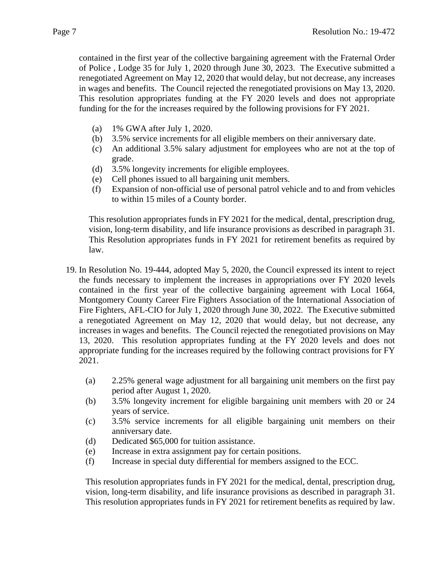of Police , Lodge 35 for July 1, 2020 through June 30, 2023. The Executive submitted a funding for the for the increases required by the following provisions for FY 2021. contained in the first year of the collective bargaining agreement with the Fraternal Order renegotiated Agreement on May 12, 2020 that would delay, but not decrease, any increases in wages and benefits. The Council rejected the renegotiated provisions on May 13, 2020. This resolution appropriates funding at the FY 2020 levels and does not appropriate

- (a) 1% GWA after July 1, 2020.
- (b) 3.5% service increments for all eligible members on their anniversary date.
- (c) An additional 3.5% salary adjustment for employees who are not at the top of grade.
- $(d)$ 3.5% longevity increments for eligible employees.
- (e) Cell phones issued to all bargaining unit members.
- (f) Expansion of non-official use of personal patrol vehicle and to and from vehicles to within 15 miles of a County border.

vision, long-term disability, and life insurance provisions as described in paragraph 31. This resolution appropriates funds in FY 2021 for the medical, dental, prescription drug, This Resolution appropriates funds in FY 2021 for retirement benefits as required by law.

- contained in the first year of the collective bargaining agreement with Local 1664, 19. In Resolution No. 19-444, adopted May 5, 2020, the Council expressed its intent to reject the funds necessary to implement the increases in appropriations over FY 2020 levels Montgomery County Career Fire Fighters Association of the International Association of Fire Fighters, AFL-CIO for July 1, 2020 through June 30, 2022. The Executive submitted a renegotiated Agreement on May 12, 2020 that would delay, but not decrease, any increases in wages and benefits. The Council rejected the renegotiated provisions on May 13, 2020. This resolution appropriates funding at the FY 2020 levels and does not appropriate funding for the increases required by the following contract provisions for FY 2021.
	- $(a)$ 2.25% general wage adjustment for all bargaining unit members on the first pay period after August 1, 2020.
	- (b) 3.5% longevity increment for eligible bargaining unit members with 20 or 24 years of service.
	- anniversary date. (c) 3.5% service increments for all eligible bargaining unit members on their
	- (d) Dedicated \$65,000 for tuition assistance.
	- (e) Increase in extra assignment pay for certain positions.
	- (f) Increase in special duty differential for members assigned to the ECC.

 vision, long-term disability, and life insurance provisions as described in paragraph 31. This resolution appropriates funds in FY 2021 for retirement benefits as required by law. This resolution appropriates funds in FY 2021 for the medical, dental, prescription drug,